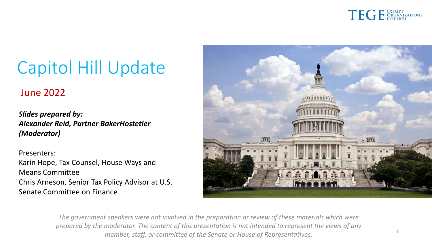

1

# Capitol Hill Update

### June 2022

*Slides prepared by: Alexander Reid, Partner BakerHostetler (Moderator)*

Presenters: Karin Hope, Tax Counsel, House Ways and Means Committee Chris Arneson, Senior Tax Policy Advisor at U.S. Senate Committee on Finance



*The government speakers were not involved in the preparation or review of these materials which were prepared by the moderator. The content of this presentation is not intended to represent the views of any member, staff, or committee of the Senate or House of Representatives.*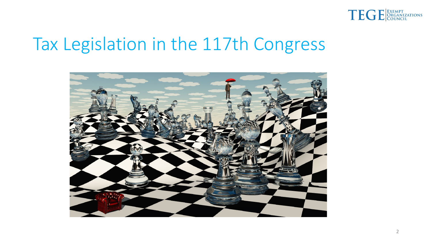

### Tax Legislation in the 117th Congress

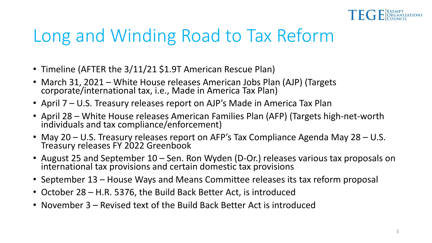

# Long and Winding Road to Tax Reform

- Timeline (AFTER the 3/11/21 \$1.9T American Rescue Plan)
- March 31, 2021 White House releases American Jobs Plan (AJP) (Targets corporate/international tax, i.e., Made in America Tax Plan)
- April 7 U.S. Treasury releases report on AJP's Made in America Tax Plan
- April 28 White House releases American Families Plan (AFP) (Targets high-net-worth individuals and tax compliance/enforcement)
- May 20 U.S. Treasury releases report on AFP's Tax Compliance Agenda May 28 U.S. Treasury releases FY 2022 Greenbook
- August 25 and September 10 Sen. Ron Wyden (D-Or.) releases various tax proposals on international tax provisions and certain domestic tax provisions
- September 13 House Ways and Means Committee releases its tax reform proposal
- October 28 H.R. 5376, the Build Back Better Act, is introduced
- November 3 Revised text of the Build Back Better Act is introduced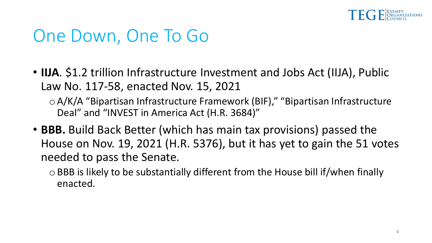

### One Down, One To Go

• **IIJA**. \$1.2 trillion Infrastructure Investment and Jobs Act (IIJA), Public Law No. 117-58, enacted Nov. 15, 2021

o A/K/A "Bipartisan Infrastructure Framework (BIF)," "Bipartisan Infrastructure Deal" and "INVEST in America Act (H.R. 3684)"

• **BBB.** Build Back Better (which has main tax provisions) passed the House on Nov. 19, 2021 (H.R. 5376), but it has yet to gain the 51 votes needed to pass the Senate.

o BBB is likely to be substantially different from the House bill if/when finally enacted.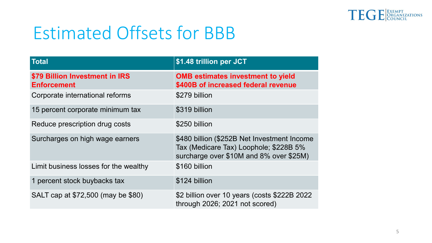

# Estimated Offsets for BBB

| <b>Total</b>                                         | \$1.48 trillion per JCT                                                                                                          |
|------------------------------------------------------|----------------------------------------------------------------------------------------------------------------------------------|
| \$79 Billion Investment in IRS<br><b>Enforcement</b> | <b>OMB estimates investment to yield</b><br>\$400B of increased federal revenue                                                  |
| Corporate international reforms                      | \$279 billion                                                                                                                    |
| 15 percent corporate minimum tax                     | \$319 billion                                                                                                                    |
| Reduce prescription drug costs                       | \$250 billion                                                                                                                    |
| Surcharges on high wage earners                      | \$480 billion (\$252B Net Investment Income<br>Tax (Medicare Tax) Loophole; \$228B 5%<br>surcharge over \$10M and 8% over \$25M) |
| Limit business losses for the wealthy                | \$160 billion                                                                                                                    |
| 1 percent stock buybacks tax                         | \$124 billion                                                                                                                    |
| SALT cap at \$72,500 (may be \$80)                   | \$2 billion over 10 years (costs \$222B 2022<br>through 2026; 2021 not scored)                                                   |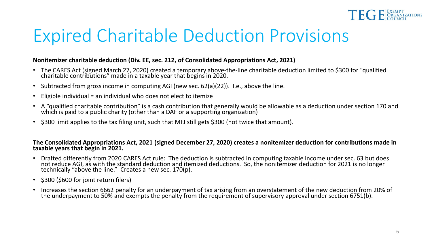

### Expired Charitable Deduction Provisions

#### **Nonitemizer charitable deduction (Div. EE, sec. 212, of Consolidated Appropriations Act, 2021)**

- The CARES Act (signed March 27, 2020) created a temporary above-the-line charitable deduction limited to \$300 for "qualified charitable contributions" made in a taxable year that begins in 2020.
- Subtracted from gross income in computing AGI (new sec. 62(a)(22)). I.e., above the line.
- Eligible individual = an individual who does not elect to itemize
- A "qualified charitable contribution" is a cash contribution that generally would be allowable as a deduction under section 170 and which is paid to a public charity (other than a DAF or a supporting organization)
- \$300 limit applies to the tax filing unit, such that MFJ still gets \$300 (not twice that amount).

#### **The Consolidated Appropriations Act, 2021 (signed December 27, 2020) creates a nonitemizer deduction for contributions made in taxable years that begin in 2021.**

- Drafted differently from 2020 CARES Act rule: The deduction is subtracted in computing taxable income under sec. 63 but does not reduce AGI, as with the standard deduction and itemized deductions. So, the nonitemizer deduction for 2021 is no longer technically "above the line." Creates a new sec. 170(p).
- \$300 (\$600 for joint return filers)
- Increases the section 6662 penalty for an underpayment of tax arising from an overstatement of the new deduction from 20% of the underpayment to 50% and exempts the penalty from the requirement of supervisory approval under section 6751(b).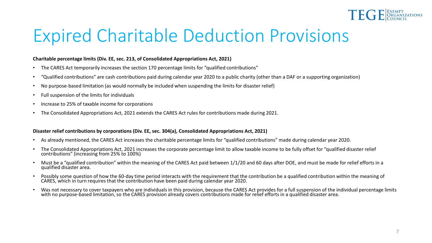

## Expired Charitable Deduction Provisions

#### **Charitable percentage limits (Div. EE, sec. 213, of Consolidated Appropriations Act, 2021)**

- The CARES Act temporarily increases the section 170 percentage limits for "qualified contributions"
- "Qualified contributions" are cash contributions paid during calendar year 2020 to a public charity (other than a DAF or a supporting organization)
- No purpose-based limitation (as would normally be included when suspending the limits for disaster relief)
- Full suspension of the limits for individuals
- Increase to 25% of taxable income for corporations
- The Consolidated Appropriations Act, 2021 extends the CARES Act rules for contributions made during 2021.

#### **Disaster relief contributions by corporations (Div. EE, sec. 304(a), Consolidated Appropriations Act, 2021)**

- As already mentioned, the CARES Act increases the charitable percentage limits for "qualified contributions" made during calendar year 2020.
- The Consolidated Appropriations Act, 2021 increases the corporate percentage limit to allow taxable income to be fully offset for "qualified disaster relief contributions" (increasing from 25% to 100%)
- Must be a "qualified contribution" within the meaning of the CARES Act paid between 1/1/20 and 60 days after DOE, and must be made for relief efforts in a qualified disaster area.
- Possibly some question of how the 60-day time period interacts with the requirement that the contribution be a qualified contribution within the meaning of CARES, which in turn requires that the contribution have been pa
- Was not necessary to cover taxpayers who are individuals in this provision, because the CARES Act provides for a full suspension of the individual percentage limits with no purpose-based limitation, so the CARES provision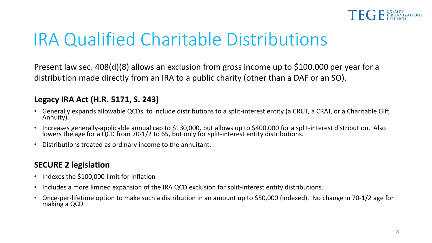

# IRA Qualified Charitable Distributions

Present law sec. 408(d)(8) allows an exclusion from gross income up to \$100,000 per year for a distribution made directly from an IRA to a public charity (other than a DAF or an SO).

### **Legacy IRA Act (H.R. 5171, S. 243)**

- Generally expands allowable QCDs to include distributions to a split-interest entity (a CRUT, a CRAT, or a Charitable Gift Annuity).
- Increases generally-applicable annual cap to \$130,000, but allows up to \$400,000 for a split-interest distribution. Also lowers the age for a QCD from 70-1/2 to 65, but only for split-interest entity distributions.
- Distributions treated as ordinary income to the annuitant.

### **SECURE 2 legislation**

- Indexes the \$100,000 limit for inflation
- Includes a more limited expansion of the IRA QCD exclusion for split-interest entity distributions.
- Once-per-lifetime option to make such a distribution in an amount up to \$50,000 (indexed). No change in 70-1/2 age for making a QCD.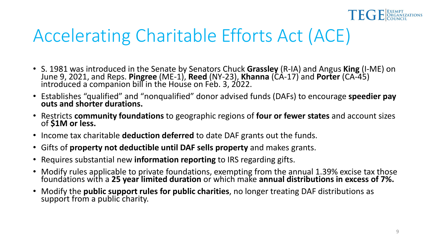

- S. 1981 was introduced in the Senate by Senators Chuck Grassley (R-IA) and Angus King (I-ME) on June 9, 2021, and Reps. Pingree (ME-1), Reed (NY-23), Khanna (CA-17) and Porter (CA-45) introduced a companion bill in the H
- Establishes "qualified" and "nonqualified" donor advised funds (DAFs) to encourage **speedier pay outs and shorter durations.**
- Restricts **community foundations** to geographic regions of **four or fewer states** and account sizes of **\$1M or less.**
- Income tax charitable **deduction deferred** to date DAF grants out the funds.
- Gifts of **property not deductible until DAF sells property** and makes grants.
- Requires substantial new **information reporting** to IRS regarding gifts.
- Modify rules applicable to private foundations, exempting from the annual 1.39% excise tax those foundations with a **25 year limited duration** or which make **annual distributions in excess of 7%.**
- Modify the **public support rules for public charities**, no longer treating DAF distributions as support from a public charity.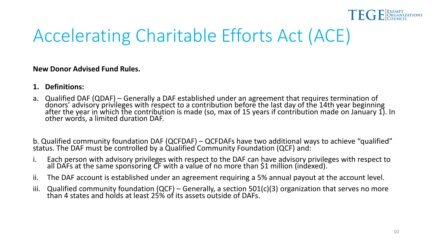

#### **New Donor Advised Fund Rules.**

- **1. Definitions:**
- a. Qualified DAF (QDAF) Generally a DAF established under an agreement that requires termination of donors' advisory privileges with respect to a contribution before the last day of the 14th year beginning after the year in which the contribution is made (so, max of 15 years if contribution made on January 1). In other words, a limited duration DAF.

b. Qualified community foundation DAF (QCFDAF) – QCFDAFs have two additional ways to achieve "qualified" status. The DAF must be controlled by a Qualified Community Foundation (QCF) and:

- i. Each person with advisory privileges with respect to the DAF can have advisory privileges with respect to all DAFs at the same sponsoring CF with a value of no more than \$1 million (indexed).
- ii. The DAF account is established under an agreement requiring a 5% annual payout at the account level.
- iii. Qualified community foundation (QCF) Generally, a section 501(c)(3) organization that serves no more than 4 states and holds at least 25% of its assets outside of DAFs.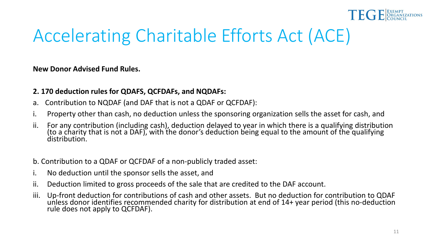

**New Donor Advised Fund Rules.**

### **2. 170 deduction rules for QDAFS, QCFDAFs, and NQDAFs:**

- a. Contribution to NQDAF (and DAF that is not a QDAF or QCFDAF):
- i. Property other than cash, no deduction unless the sponsoring organization sells the asset for cash, and
- ii. For any contribution (including cash), deduction delayed to year in which there is a qualifying distribution (to a charity that is not a DAF), with the donor's deduction being equal to the amount of the qualifying distribution.
- b. Contribution to a QDAF or QCFDAF of a non-publicly traded asset:
- i. No deduction until the sponsor sells the asset, and
- ii. Deduction limited to gross proceeds of the sale that are credited to the DAF account.
- iii. Up-front deduction for contributions of cash and other assets. But no deduction for contribution to QDAF unless donor identifies recommended charity for distribution at end of 14+ year period (this no-deduction rule does not apply to QCFDAF).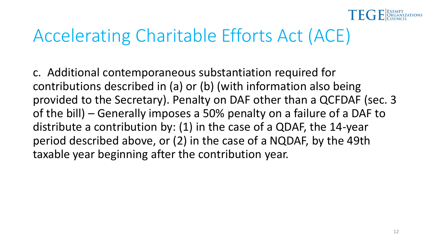

c. Additional contemporaneous substantiation required for contributions described in (a) or (b) (with information also being provided to the Secretary). Penalty on DAF other than a QCFDAF (sec. 3 of the bill) – Generally imposes a 50% penalty on a failure of a DAF to distribute a contribution by: (1) in the case of a QDAF, the 14-year period described above, or (2) in the case of a NQDAF, by the 49th taxable year beginning after the contribution year.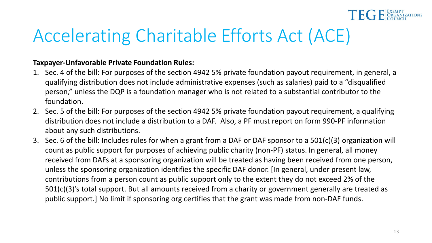

### **Taxpayer-Unfavorable Private Foundation Rules:**

- 1. Sec. 4 of the bill: For purposes of the section 4942 5% private foundation payout requirement, in general, a qualifying distribution does not include administrative expenses (such as salaries) paid to a "disqualified person," unless the DQP is a foundation manager who is not related to a substantial contributor to the foundation.
- 2. Sec. 5 of the bill: For purposes of the section 4942 5% private foundation payout requirement, a qualifying distribution does not include a distribution to a DAF. Also, a PF must report on form 990-PF information about any such distributions.
- 3. Sec. 6 of the bill: Includes rules for when a grant from a DAF or DAF sponsor to a 501(c)(3) organization will count as public support for purposes of achieving public charity (non-PF) status. In general, all money received from DAFs at a sponsoring organization will be treated as having been received from one person, unless the sponsoring organization identifies the specific DAF donor. [In general, under present law, contributions from a person count as public support only to the extent they do not exceed 2% of the 501(c)(3)'s total support. But all amounts received from a charity or government generally are treated as public support.] No limit if sponsoring org certifies that the grant was made from non-DAF funds.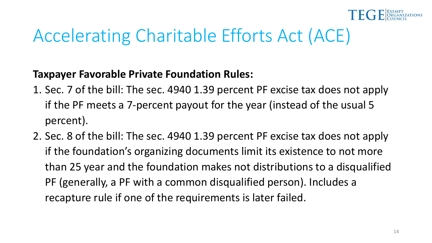

### **Taxpayer Favorable Private Foundation Rules:**

- 1. Sec. 7 of the bill: The sec. 4940 1.39 percent PF excise tax does not apply if the PF meets a 7-percent payout for the year (instead of the usual 5 percent).
- 2. Sec. 8 of the bill: The sec. 4940 1.39 percent PF excise tax does not apply if the foundation's organizing documents limit its existence to not more than 25 year and the foundation makes not distributions to a disqualified PF (generally, a PF with a common disqualified person). Includes a recapture rule if one of the requirements is later failed.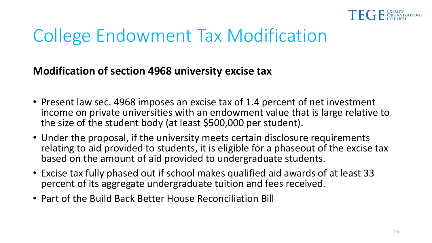

# College Endowment Tax Modification

**Modification of section 4968 university excise tax**

- Present law sec. 4968 imposes an excise tax of 1.4 percent of net investment income on private universities with an endowment value that is large relative to the size of the student body (at least \$500,000 per student).
- Under the proposal, if the university meets certain disclosure requirements relating to aid provided to students, it is eligible for a phaseout of the excise tax based on the amount of aid provided to undergraduate students.
- Excise tax fully phased out if school makes qualified aid awards of at least 33 percent of its aggregate undergraduate tuition and fees received.
- Part of the Build Back Better House Reconciliation Bill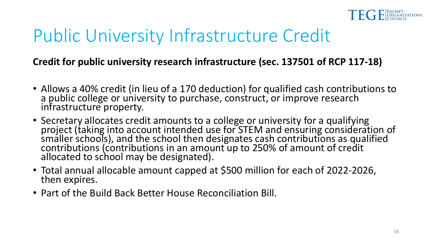

# Public University Infrastructure Credit

### **Credit for public university research infrastructure (sec. 137501 of RCP 117-18)**

- Allows a 40% credit (in lieu of a 170 deduction) for qualified cash contributions to a public college or university to purchase, construct, or improve research infrastructure property.
- Secretary allocates credit amounts to a college or university for a qualifying project (taking into account intended use for STEM and ensuring consideration of smaller schools), and the school then designates cash contributions as qualified contributions (contributions in an amount up to 250% of amount of credit allocated to school may be designated).
- Total annual allocable amount capped at \$500 million for each of 2022-2026, then expires.
- Part of the Build Back Better House Reconciliation Bill.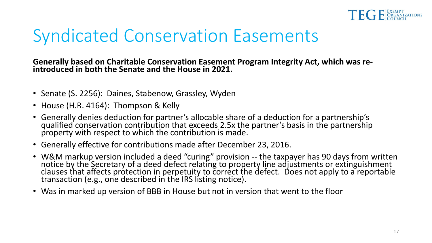

## Syndicated Conservation Easements

**Generally based on Charitable Conservation Easement Program Integrity Act, which was re- introduced in both the Senate and the House in 2021.**

- Senate (S. 2256): Daines, Stabenow, Grassley, Wyden
- House (H.R. 4164): Thompson & Kelly
- Generally denies deduction for partner's allocable share of a deduction for a partnership's qualified conservation contribution that exceeds 2.5x the partner's basis in the partnership property with respect to which the contribution is made.
- Generally effective for contributions made after December 23, 2016.
- W&M markup version included a deed "curing" provision -- the taxpayer has 90 days from written notice by the Secretary of a deed defect relating to property line adjustments or extinguishment clauses that affects protection in perpetuity to correct the defect. Does not apply to a reportable transaction (e.g., one described in the IRS listing notice).
- Was in marked up version of BBB in House but not in version that went to the floor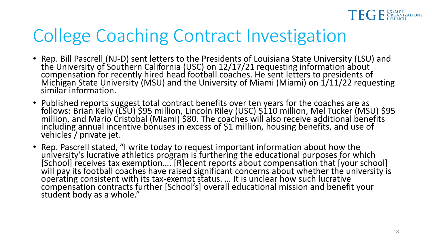

## College Coaching Contract Investigation

- Rep. Bill Pascrell (NJ-D) sent letters to the Presidents of Louisiana State University (LSU) and<br>the University of Southern California (USC) on 12/17/21 requesting information about compensation for recently hired head football coaches. He sent letters to presidents of Michigan State University (MSU) and the University of Miami (Miami) on 1/11/22 requesting similar information.
- Published reports suggest total contract benefits over ten years for the coaches are as follows: Brian Kelly (LSU) \$95 million, Lincoln Riley (USC) \$110 million, Mel Tucker (MSU) \$95 million, and Mario Cristobal (Miami) \$80. The coaches will also receive additional benefits including annual incentive bonuses in excess of \$1 million, housing benefits, and use of vehicles / private jet.
- Rep. Pascrell stated, "I write today to request important information about how the university's lucrative athletics program is furthering the educational purposes for which [School] receives tax exemption.... [R]ecent reports about compensation that [your school] will pay its football coaches have raised significant concerns about whether the university is operating consistent with its tax-exempt status. ... It is unclear how such lucrative<br>compensation contracts further [School's] overall educational mission and benefit your student body as a whole."